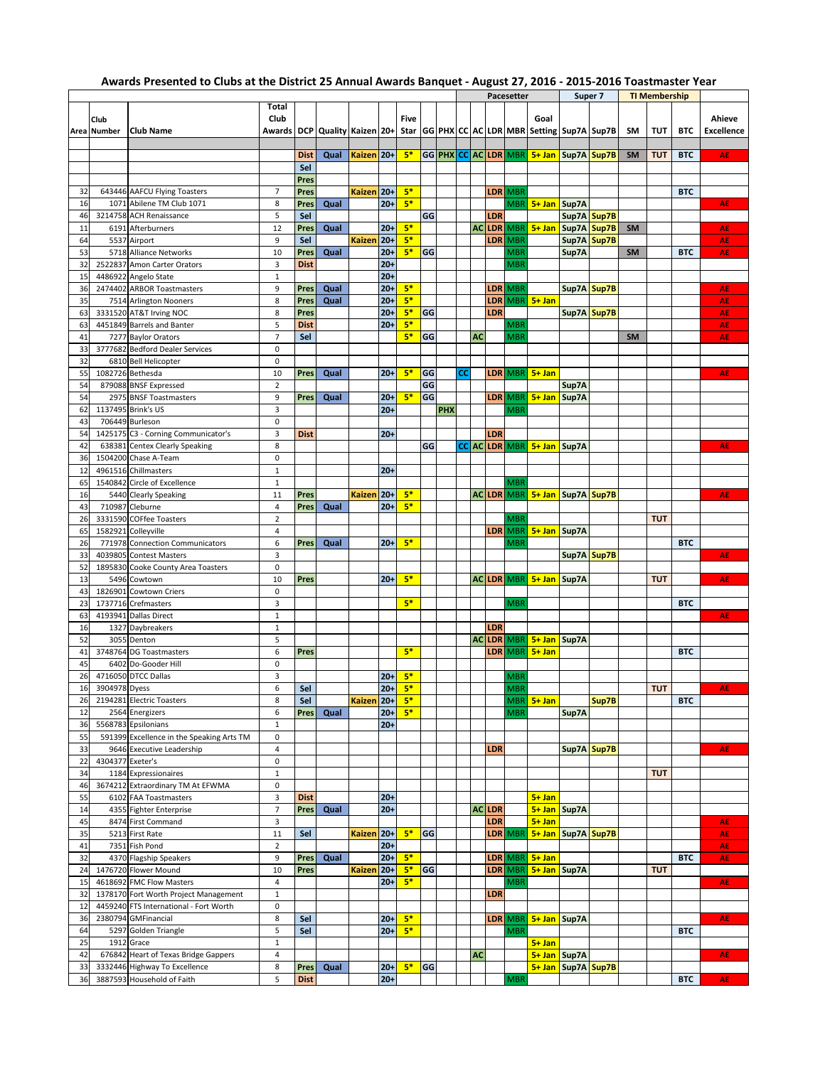## **Awards Presented to Clubs at the District 25 Annual Awards Banquet - August 27, 2016 - 2015-2016 Toastmaster Year**

|    |                  |                                           |                |             |                                       |               |        |             |    |     | <b>Pacesetter</b> |    |                  |            |                                               | Super 7                |             | <b>TI Membership</b> |            |            |                   |
|----|------------------|-------------------------------------------|----------------|-------------|---------------------------------------|---------------|--------|-------------|----|-----|-------------------|----|------------------|------------|-----------------------------------------------|------------------------|-------------|----------------------|------------|------------|-------------------|
|    |                  |                                           | Total          |             |                                       |               |        |             |    |     |                   |    |                  |            |                                               |                        |             |                      |            |            |                   |
|    | Club             |                                           | Club           |             |                                       |               |        | <b>Five</b> |    |     |                   |    |                  |            | Goal                                          |                        |             |                      |            |            | Ahieve            |
|    | Area Number      | <b>Club Name</b>                          |                |             | Awards   DCP   Quality   Kaizen   20+ |               |        |             |    |     |                   |    |                  |            | Star GG PHX CC AC LDR MBR Setting Sup7A Sup7B |                        |             | <b>SM</b>            | TUT        | <b>BTC</b> | <b>Excellence</b> |
|    |                  |                                           |                |             |                                       |               |        |             |    |     |                   |    |                  |            |                                               |                        |             |                      |            |            |                   |
|    |                  |                                           |                |             |                                       |               |        |             |    |     |                   |    |                  |            |                                               |                        |             |                      |            |            |                   |
|    |                  |                                           |                | <b>Dist</b> | Qual                                  | Kaizen 20+    |        | $5*$        |    |     |                   |    |                  |            | GG PHX CC AC LDR MBR 5+ Jan Sup7A Sup7B       |                        |             | <b>SM</b>            | <b>TUT</b> | <b>BTC</b> | AE                |
|    |                  |                                           |                | Sel         |                                       |               |        |             |    |     |                   |    |                  |            |                                               |                        |             |                      |            |            |                   |
|    |                  |                                           |                | Pres        |                                       |               |        |             |    |     |                   |    |                  |            |                                               |                        |             |                      |            |            |                   |
| 32 |                  | 643446 AAFCU Flying Toasters              | $\overline{7}$ | Pres        |                                       | Kaizen 20+    |        | $5*$        |    |     |                   |    | <b>LDR</b>       | <b>MBR</b> |                                               |                        |             |                      |            | <b>BTC</b> |                   |
|    |                  |                                           |                |             |                                       |               | $20+$  | $5*$        |    |     |                   |    |                  |            |                                               |                        |             |                      |            |            | AE                |
| 16 |                  | 1071 Abilene TM Club 1071                 | 8              | Pres        | Qual                                  |               |        |             |    |     |                   |    |                  | MBR        | 5+ Jan Sup7A                                  |                        |             |                      |            |            |                   |
| 46 |                  | 3214758 ACH Renaissance                   | 5              | Sel         |                                       |               |        |             | GG |     |                   |    | LDR              |            |                                               | Sup7A Sup7B            |             |                      |            |            |                   |
| 11 |                  | 6191 Afterburners                         | 12             | Pres        | Qual                                  |               | $20+$  | $5*$        |    |     |                   |    | <b>ACLDR</b>     | MBR        | $5+$ Jan                                      | Sup7A Sup7B            |             | SM                   |            |            | AE                |
| 64 |                  | 5537 Airport                              | 9              | Sel         |                                       | <b>Kaizen</b> | $20+$  | $5*$        |    |     |                   |    | LDR              | MBR        |                                               |                        | Sup7A Sup7B |                      |            |            | AE                |
| 53 |                  | 5718 Alliance Networks                    | 10             | Pres        | Qual                                  |               | $20 +$ | $5*$        | GG |     |                   |    |                  | MBR        |                                               | Sup7A                  |             | <b>SM</b>            |            | <b>BTC</b> | AE                |
|    |                  |                                           |                |             |                                       |               |        |             |    |     |                   |    |                  |            |                                               |                        |             |                      |            |            |                   |
| 32 |                  | 2522837 Amon Carter Orators               | 3              | <b>Dist</b> |                                       |               | $20 +$ |             |    |     |                   |    |                  | MBR        |                                               |                        |             |                      |            |            |                   |
| 15 |                  | 4486922 Angelo State                      | $\mathbf{1}$   |             |                                       |               | $20 +$ |             |    |     |                   |    |                  |            |                                               |                        |             |                      |            |            |                   |
| 36 |                  | 2474402 ARBOR Toastmasters                | 9              | Pres        | Qual                                  |               | $20+$  | $5*$        |    |     |                   |    | <b>LDR</b>       | MBR        |                                               | Sup7A Sup7B            |             |                      |            |            | AE                |
| 35 |                  | 7514 Arlington Nooners                    | 8              | Pres        | Qual                                  |               | $20 +$ | $5*$        |    |     |                   |    | <b>LDR</b>       | MBR        | $5+$ Jan                                      |                        |             |                      |            |            | AE                |
| 63 |                  |                                           | 8              | Pres        |                                       |               | $20 +$ | $5*$        | GG |     |                   |    | LDR              |            |                                               |                        |             |                      |            |            | AE                |
|    |                  | 3331520 AT&T Irving NOC                   |                |             |                                       |               |        |             |    |     |                   |    |                  |            |                                               | Sup7A Sup7B            |             |                      |            |            |                   |
| 63 |                  | 4451849 Barrels and Banter                | 5              | <b>Dist</b> |                                       |               | $20+$  | $5*$        |    |     |                   |    |                  | MBR        |                                               |                        |             |                      |            |            | AE                |
| 41 |                  | 7277 Baylor Orators                       | $\overline{7}$ | Sel         |                                       |               |        | $5*$        | GG |     |                   | AC |                  | <b>MBR</b> |                                               |                        |             | <b>SM</b>            |            |            | AE                |
| 33 |                  | 3777682 Bedford Dealer Services           | 0              |             |                                       |               |        |             |    |     |                   |    |                  |            |                                               |                        |             |                      |            |            |                   |
| 32 |                  | 6810 Bell Helicopter                      | 0              |             |                                       |               |        |             |    |     |                   |    |                  |            |                                               |                        |             |                      |            |            |                   |
|    |                  |                                           |                |             |                                       |               |        |             |    |     |                   |    |                  |            |                                               |                        |             |                      |            |            |                   |
| 55 |                  | 1082726 Bethesda                          | 10             | Pres        | Qual                                  |               | $20+$  | $5*$        | GG |     | CC                |    | LDR              | MBR        | $5+$ Jan                                      |                        |             |                      |            |            | AE                |
| 54 |                  | 879088 BNSF Expressed                     | $\overline{2}$ |             |                                       |               |        |             | GG |     |                   |    |                  |            |                                               | Sup7A                  |             |                      |            |            |                   |
| 54 |                  | 2975 BNSF Toastmasters                    | 9              | Pres        | Qual                                  |               | $20+$  | $5*$        | GG |     |                   |    | <b>LDR</b>       | <b>MBR</b> | 5+ Jan Sup7A                                  |                        |             |                      |            |            |                   |
| 62 |                  | 1137495 Brink's US                        | 3              |             |                                       |               | $20 +$ |             |    | PHX |                   |    |                  | MBR        |                                               |                        |             |                      |            |            |                   |
| 43 |                  | 706449 Burleson                           | 0              |             |                                       |               |        |             |    |     |                   |    |                  |            |                                               |                        |             |                      |            |            |                   |
|    |                  |                                           |                |             |                                       |               |        |             |    |     |                   |    |                  |            |                                               |                        |             |                      |            |            |                   |
| 54 |                  | 1425175 C3 - Corning Communicator's       | 3              | <b>Dist</b> |                                       |               | $20+$  |             |    |     |                   |    | LDR              |            |                                               |                        |             |                      |            |            |                   |
| 42 |                  | 638381 Centex Clearly Speaking            | 8              |             |                                       |               |        |             | GG |     |                   |    |                  |            | CC AC LDR MBR 5+ Jan Sup7A                    |                        |             |                      |            |            | AE                |
| 36 |                  | 1504200 Chase A-Team                      | 0              |             |                                       |               |        |             |    |     |                   |    |                  |            |                                               |                        |             |                      |            |            |                   |
| 12 |                  | 4961516 Chillmasters                      | $1\,$          |             |                                       |               | $20+$  |             |    |     |                   |    |                  |            |                                               |                        |             |                      |            |            |                   |
| 65 |                  | 1540842 Circle of Excellence              | $\mathbf 1$    |             |                                       |               |        |             |    |     |                   |    |                  | MBR        |                                               |                        |             |                      |            |            |                   |
|    |                  |                                           |                |             |                                       |               |        |             |    |     |                   |    |                  |            |                                               |                        |             |                      |            |            |                   |
| 16 |                  | 5440 Clearly Speaking                     | 11             | Pres        |                                       | Kaizen 20+    |        | $5*$        |    |     |                   |    | <b>ACLDR</b>     |            | MBR 5+ Jan Sup7A Sup7B                        |                        |             |                      |            |            | AE                |
| 43 |                  | 710987 Cleburne                           | 4              | Pres        | Qual                                  |               | $20+$  | $5*$        |    |     |                   |    |                  |            |                                               |                        |             |                      |            |            |                   |
| 26 |                  | 3331590 COFfee Toasters                   | $\overline{2}$ |             |                                       |               |        |             |    |     |                   |    |                  | MBR        |                                               |                        |             |                      | <b>TUT</b> |            |                   |
| 65 |                  | 1582921 Colleyville                       | 4              |             |                                       |               |        |             |    |     |                   |    | <b>LDR</b>       | <b>MBR</b> | 5+ Jan Sup7A                                  |                        |             |                      |            |            |                   |
| 26 |                  | 771978 Connection Communicators           | 6              | Pres        | Qual                                  |               | $20+$  | $5*$        |    |     |                   |    |                  | MBR        |                                               |                        |             |                      |            | <b>BTC</b> |                   |
|    |                  |                                           |                |             |                                       |               |        |             |    |     |                   |    |                  |            |                                               |                        |             |                      |            |            |                   |
| 33 |                  | 4039805 Contest Masters                   | 3              |             |                                       |               |        |             |    |     |                   |    |                  |            |                                               | Sup7A Sup7B            |             |                      |            |            | AE                |
| 52 |                  | 1895830 Cooke County Area Toasters        | 0              |             |                                       |               |        |             |    |     |                   |    |                  |            |                                               |                        |             |                      |            |            |                   |
| 13 |                  | 5496 Cowtown                              | 10             | Pres        |                                       |               | $20+$  | $5*$        |    |     |                   |    | <b>ACLDR</b>     | <b>MBR</b> | $5 + Jan$                                     | Sup7A                  |             |                      | <b>TUT</b> |            | AE                |
| 43 |                  | 1826901 Cowtown Criers                    | 0              |             |                                       |               |        |             |    |     |                   |    |                  |            |                                               |                        |             |                      |            |            |                   |
| 23 |                  | 1737716 Crefmasters                       | 3              |             |                                       |               |        | $5*$        |    |     |                   |    |                  | MBR        |                                               |                        |             |                      |            | <b>BTC</b> |                   |
|    |                  |                                           |                |             |                                       |               |        |             |    |     |                   |    |                  |            |                                               |                        |             |                      |            |            |                   |
| 63 |                  | 4193941 Dallas Direct                     | $\mathbf{1}$   |             |                                       |               |        |             |    |     |                   |    |                  |            |                                               |                        |             |                      |            |            | <b>AE</b>         |
| 16 |                  | 1327 Daybreakers                          | $\mathbf 1$    |             |                                       |               |        |             |    |     |                   |    | LDR              |            |                                               |                        |             |                      |            |            |                   |
| 52 |                  | 3055 Denton                               | 5              |             |                                       |               |        |             |    |     |                   |    | <b>ACLDR</b>     |            | MBR 5+ Jan Sup7A                              |                        |             |                      |            |            |                   |
| 41 |                  | 3748764 DG Toastmasters                   | 6              | Pres        |                                       |               |        | $5*$        |    |     |                   |    | LDR              | <b>MBR</b> | $5+$ Jan                                      |                        |             |                      |            | <b>BTC</b> |                   |
| 45 |                  | 6402 Do-Gooder Hill                       | 0              |             |                                       |               |        |             |    |     |                   |    |                  |            |                                               |                        |             |                      |            |            |                   |
|    |                  |                                           |                |             |                                       |               |        |             |    |     |                   |    |                  |            |                                               |                        |             |                      |            |            |                   |
| 26 |                  | 4716050 DTCC Dallas                       | 3              |             |                                       |               | $20+$  | $5*$        |    |     |                   |    |                  | MBR        |                                               |                        |             |                      |            |            |                   |
| 16 | 3904978 Dyess    |                                           | 6              | Sel         |                                       |               | $20+$  | $5*$        |    |     |                   |    |                  | <b>MBR</b> |                                               |                        |             |                      | <b>TUT</b> |            | AE                |
| 26 |                  | 2194281 Electric Toasters                 | 8              | Sel         |                                       | Kaizen 20+    |        | $5*$        |    |     |                   |    |                  |            | MBR 5+ Jan                                    |                        | Sup7B       |                      |            | <b>BTC</b> |                   |
| 12 |                  | 2564 Energizers                           | 6              | Pres        | Qual                                  |               | $20+$  | $5*$        |    |     |                   |    |                  | <b>MBR</b> |                                               | Sup7A                  |             |                      |            |            |                   |
| 36 |                  | 5568783 Epsilonians                       | $\mathbf{1}$   |             |                                       |               | $20+$  |             |    |     |                   |    |                  |            |                                               |                        |             |                      |            |            |                   |
|    |                  |                                           |                |             |                                       |               |        |             |    |     |                   |    |                  |            |                                               |                        |             |                      |            |            |                   |
| 55 |                  | 591399 Excellence in the Speaking Arts TM | 0              |             |                                       |               |        |             |    |     |                   |    |                  |            |                                               |                        |             |                      |            |            |                   |
| 33 |                  | 9646 Executive Leadership                 | $\overline{4}$ |             |                                       |               |        |             |    |     |                   |    | LDR              |            |                                               |                        | Sup7A Sup7B |                      |            |            | AE                |
| 22 | 4304377 Exeter's |                                           | 0              |             |                                       |               |        |             |    |     |                   |    |                  |            |                                               |                        |             |                      |            |            |                   |
| 34 |                  | 1184 Expressionaires                      | $\mathbf 1$    |             |                                       |               |        |             |    |     |                   |    |                  |            |                                               |                        |             |                      | <b>TUT</b> |            |                   |
| 46 |                  | 3674212 Extraordinary TM At EFWMA         | 0              |             |                                       |               |        |             |    |     |                   |    |                  |            |                                               |                        |             |                      |            |            |                   |
|    |                  |                                           |                |             |                                       |               |        |             |    |     |                   |    |                  |            |                                               |                        |             |                      |            |            |                   |
| 55 |                  | 6102 FAA Toastmasters                     | 3              | <b>Dist</b> |                                       |               | $20+$  |             |    |     |                   |    |                  |            | $5+$ Jan                                      |                        |             |                      |            |            |                   |
| 14 |                  | 4355 Fighter Enterprise                   | $\overline{7}$ | Pres        | Qual                                  |               | $20+$  |             |    |     |                   |    | <b>ACLDR</b>     |            | 5+ Jan Sup7A                                  |                        |             |                      |            |            |                   |
| 45 |                  | 8474 First Command                        | 3              |             |                                       |               |        |             |    |     |                   |    | LDR              |            | $5+$ Jan                                      |                        |             |                      |            |            | AE                |
| 35 |                  | 5213 First Rate                           | $11\,$         | Sel         |                                       | Kaizen 20+    |        | $5*$        | GG |     |                   |    | LDR <sup>I</sup> | <b>MBR</b> |                                               | 5+ Jan   Sup7A   Sup7B |             |                      |            |            | <b>AE</b>         |
| 41 |                  | 7351 Fish Pond                            | $\overline{2}$ |             |                                       |               | $20+$  |             |    |     |                   |    |                  |            |                                               |                        |             |                      |            |            | <b>AE</b>         |
|    |                  |                                           |                |             |                                       |               |        |             |    |     |                   |    |                  |            |                                               |                        |             |                      |            |            |                   |
| 32 |                  | 4370 Flagship Speakers                    | 9              | Pres        | Qual                                  |               | $20+$  | $5*$        |    |     |                   |    | <b>LDR</b>       |            | MBR 5+ Jan                                    |                        |             |                      |            | <b>BTC</b> | AE                |
| 24 |                  | 1476720 Flower Mound                      | 10             | Pres        |                                       | <b>Kaizen</b> | $20+$  | $5*$        | GG |     |                   |    | <b>LDR</b>       | <b>MBR</b> | 5+ Jan Sup7A                                  |                        |             |                      | <b>TUT</b> |            |                   |
| 15 |                  | 4618692 FMC Flow Masters                  | $\overline{4}$ |             |                                       |               | $20+$  | $5*$        |    |     |                   |    |                  | MBR        |                                               |                        |             |                      |            |            | AE                |
| 32 |                  | 1378170 Fort Worth Project Management     | $\mathbf 1$    |             |                                       |               |        |             |    |     |                   |    | LDR              |            |                                               |                        |             |                      |            |            |                   |
|    |                  |                                           | 0              |             |                                       |               |        |             |    |     |                   |    |                  |            |                                               |                        |             |                      |            |            |                   |
| 12 |                  | 4459240 FTS International - Fort Worth    |                |             |                                       |               |        |             |    |     |                   |    |                  |            |                                               |                        |             |                      |            |            |                   |
| 36 |                  | 2380794 GMFinancial                       | 8              | Sel         |                                       |               | $20+$  | $5*$        |    |     |                   |    | <b>LDR</b>       | <b>MBR</b> | 5+ Jan Sup7A                                  |                        |             |                      |            |            | <b>AE</b>         |
| 64 |                  | 5297 Golden Triangle                      | 5              | Sel         |                                       |               | $20+$  | $5*$        |    |     |                   |    |                  | <b>MBR</b> |                                               |                        |             |                      |            | <b>BTC</b> |                   |
| 25 |                  | 1912 Grace                                | $\mathbf 1$    |             |                                       |               |        |             |    |     |                   |    |                  |            | $5+$ Jan                                      |                        |             |                      |            |            |                   |
| 42 |                  | 676842 Heart of Texas Bridge Gappers      | $\overline{4}$ |             |                                       |               |        |             |    |     |                   | AC |                  |            | 5+ Jan Sup7A                                  |                        |             |                      |            |            | AE                |
|    |                  |                                           |                |             |                                       |               |        |             |    |     |                   |    |                  |            |                                               |                        |             |                      |            |            |                   |
| 33 |                  | 3332446 Highway To Excellence             | 8              | Pres        | Qual                                  |               | $20+$  | $5*$        | GG |     |                   |    |                  |            |                                               | 5+ Jan   Sup7A   Sup7B |             |                      |            |            |                   |
| 36 |                  | 3887593 Household of Faith                | 5              | <b>Dist</b> |                                       |               | $20+$  |             |    |     |                   |    |                  | MBR        |                                               |                        |             |                      |            | <b>BTC</b> | AE                |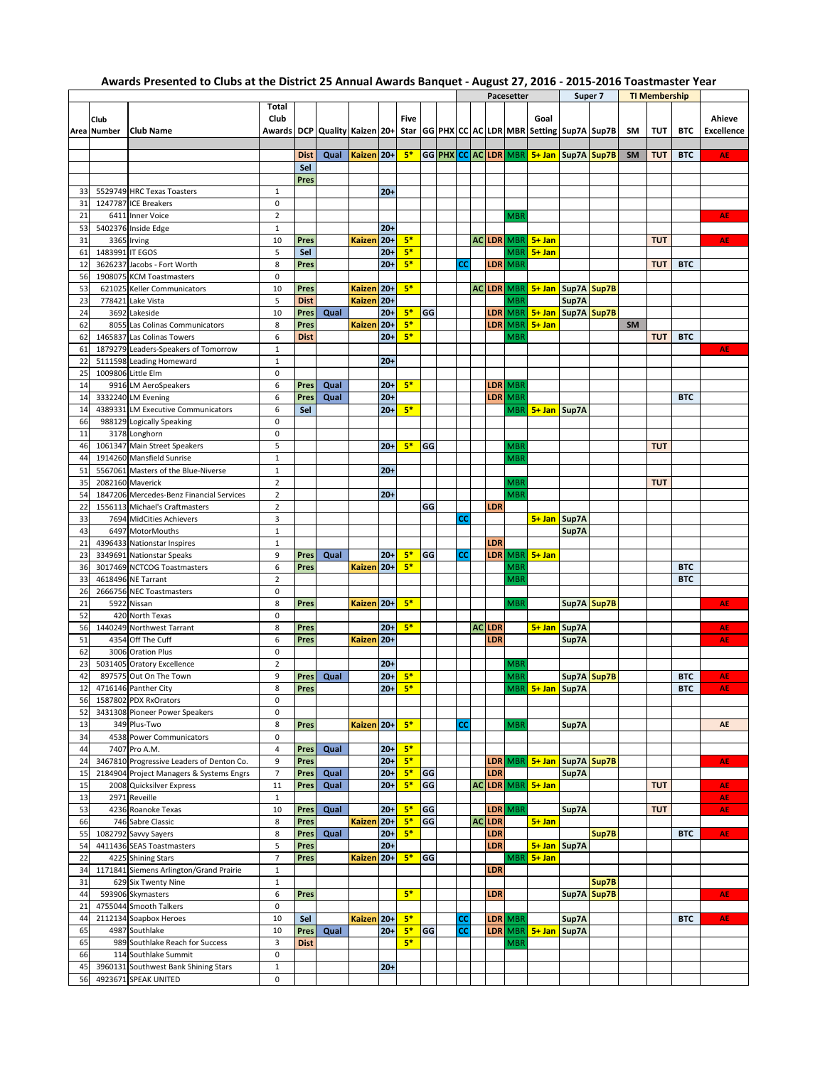## **Awards Presented to Clubs at the District 25 Annual Awards Banquet - August 27, 2016 - 2015-2016 Toastmaster Year**

|    |                 |                                           |                |             |                                       |               |        |      |    | Pacesetter |    |               |            | Super 7                                       |                        | <b>TI Membership</b> |    |            |            |            |
|----|-----------------|-------------------------------------------|----------------|-------------|---------------------------------------|---------------|--------|------|----|------------|----|---------------|------------|-----------------------------------------------|------------------------|----------------------|----|------------|------------|------------|
|    |                 |                                           | Total          |             |                                       |               |        |      |    |            |    |               |            |                                               |                        |                      |    |            |            |            |
|    | Club            |                                           | Club           |             |                                       |               |        | Five |    |            |    |               |            | Goal                                          |                        |                      |    |            |            | Ahieve     |
|    | Area Number     | <b>Club Name</b>                          |                |             | Awards   DCP   Quality   Kaizen   20+ |               |        |      |    |            |    |               |            | Star GG PHX CC AC LDR MBR Setting Sup7A Sup7B |                        |                      | SM | <b>TUT</b> | <b>BTC</b> | Excellence |
|    |                 |                                           |                |             |                                       |               |        |      |    |            |    |               |            |                                               |                        |                      |    |            |            |            |
|    |                 |                                           |                |             |                                       |               |        |      |    |            |    |               |            |                                               |                        |                      |    |            |            |            |
|    |                 |                                           |                | <b>Dist</b> | Qual                                  | Kaizen 20+    |        | $5*$ |    |            |    |               |            | GG PHX CC AC LDR MBR 5+ Jan Sup7A Sup7B       |                        |                      | SM | <b>TUT</b> | <b>BTC</b> | AE         |
|    |                 |                                           |                | Sel         |                                       |               |        |      |    |            |    |               |            |                                               |                        |                      |    |            |            |            |
|    |                 |                                           |                | Pres        |                                       |               |        |      |    |            |    |               |            |                                               |                        |                      |    |            |            |            |
| 33 |                 | 5529749 HRC Texas Toasters                | $\mathbf{1}$   |             |                                       |               | $20+$  |      |    |            |    |               |            |                                               |                        |                      |    |            |            |            |
| 31 |                 | 1247787 ICE Breakers                      | 0              |             |                                       |               |        |      |    |            |    |               |            |                                               |                        |                      |    |            |            |            |
|    |                 |                                           |                |             |                                       |               |        |      |    |            |    |               |            |                                               |                        |                      |    |            |            |            |
| 21 |                 | 6411 Inner Voice                          | $\overline{2}$ |             |                                       |               |        |      |    |            |    |               | MBR        |                                               |                        |                      |    |            |            | AE         |
| 53 |                 | 5402376 Inside Edge                       | $1\,$          |             |                                       |               | $20 +$ |      |    |            |    |               |            |                                               |                        |                      |    |            |            |            |
| 31 |                 | 3365 Irving                               | 10             | Pres        |                                       | Kaizen        | $20 +$ | $5*$ |    |            |    | <b>AC LDR</b> | <b>MBR</b> | $5+$ Jan                                      |                        |                      |    | <b>TUT</b> |            | AE         |
| 61 | 1483991 IT EGOS |                                           | 5              | Sel         |                                       |               | $20 +$ | $5*$ |    |            |    |               | <b>MBR</b> | $5+$ Jan                                      |                        |                      |    |            |            |            |
| 12 |                 | 3626237 Jacobs - Fort Worth               | 8              | Pres        |                                       |               | $20 +$ | $5*$ |    | <b>CC</b>  |    | LDR I         | <b>MBR</b> |                                               |                        |                      |    | <b>TUT</b> | <b>BTC</b> |            |
|    |                 |                                           | 0              |             |                                       |               |        |      |    |            |    |               |            |                                               |                        |                      |    |            |            |            |
| 56 |                 | 1908075 KCM Toastmasters                  |                |             |                                       |               |        |      |    |            |    |               |            |                                               |                        |                      |    |            |            |            |
| 53 |                 | 621025 Keller Communicators               | 10             | Pres        |                                       | <b>Kaizen</b> | $20 +$ | $5*$ |    |            |    | <b>ACLDR</b>  | <b>MBR</b> | 5+ Jan   Sup7A   Sup7B                        |                        |                      |    |            |            |            |
| 23 |                 | 778421 Lake Vista                         | 5              | <b>Dist</b> |                                       | <b>Kaizen</b> | $20 +$ |      |    |            |    |               | MBR        |                                               | Sup7A                  |                      |    |            |            |            |
| 24 |                 | 3692 Lakeside                             | 10             | Pres        | Qual                                  |               | $20 +$ | $5*$ | GG |            |    | LDR           | <b>MBR</b> |                                               | 5+ Jan   Sup7A   Sup7B |                      |    |            |            |            |
| 62 |                 | 8055 Las Colinas Communicators            | 8              | Pres        |                                       | <b>Kaizen</b> | $20 +$ | $5*$ |    |            |    | LDR           | <b>MBR</b> | $5+$ Jan                                      |                        |                      | SM |            |            |            |
| 62 |                 | 1465837 Las Colinas Towers                | 6              | <b>Dist</b> |                                       |               | $20+$  | $5*$ |    |            |    |               | MBR        |                                               |                        |                      |    | <b>TUT</b> | <b>BTC</b> |            |
| 61 |                 | 1879279 Leaders-Speakers of Tomorrow      | $1\,$          |             |                                       |               |        |      |    |            |    |               |            |                                               |                        |                      |    |            |            | AE         |
|    |                 |                                           |                |             |                                       |               |        |      |    |            |    |               |            |                                               |                        |                      |    |            |            |            |
| 22 |                 | 5111598 Leading Homeward                  | $\mathbf{1}$   |             |                                       |               | $20+$  |      |    |            |    |               |            |                                               |                        |                      |    |            |            |            |
| 25 |                 | 1009806 Little Elm                        | 0              |             |                                       |               |        |      |    |            |    |               |            |                                               |                        |                      |    |            |            |            |
| 14 |                 | 9916 LM AeroSpeakers                      | 6              | Pres        | Qual                                  |               | $20 +$ | $5*$ |    |            |    |               | LDR MBR    |                                               |                        |                      |    |            |            |            |
| 14 |                 | 3332240 LM Evening                        | 6              | Pres        | Qual                                  |               | $20 +$ |      |    |            |    | LDR           | <b>MBR</b> |                                               |                        |                      |    |            | <b>BTC</b> |            |
| 14 |                 | 4389331 LM Executive Communicators        | 6              | Sel         |                                       |               | $20 +$ | $5*$ |    |            |    |               |            | MBR <mark>  5+ Jan  </mark> Sup7A             |                        |                      |    |            |            |            |
| 66 |                 | 988129 Logically Speaking                 | 0              |             |                                       |               |        |      |    |            |    |               |            |                                               |                        |                      |    |            |            |            |
|    |                 |                                           |                |             |                                       |               |        |      |    |            |    |               |            |                                               |                        |                      |    |            |            |            |
| 11 |                 | 3178 Longhorn                             | 0              |             |                                       |               |        |      |    |            |    |               |            |                                               |                        |                      |    |            |            |            |
| 46 |                 | 1061347 Main Street Speakers              | 5              |             |                                       |               | $20+$  | $5*$ | GG |            |    |               | MBR        |                                               |                        |                      |    | <b>TUT</b> |            |            |
| 44 |                 | 1914260 Mansfield Sunrise                 | $\mathbf 1$    |             |                                       |               |        |      |    |            |    |               | MBR        |                                               |                        |                      |    |            |            |            |
| 51 |                 | 5567061 Masters of the Blue-Niverse       | $1\,$          |             |                                       |               | $20 +$ |      |    |            |    |               |            |                                               |                        |                      |    |            |            |            |
| 35 |                 | 2082160 Maverick                          | $\overline{2}$ |             |                                       |               |        |      |    |            |    |               | MBR        |                                               |                        |                      |    | <b>TUT</b> |            |            |
| 54 |                 | 1847206 Mercedes-Benz Financial Services  | $\overline{2}$ |             |                                       |               | $20 +$ |      |    |            |    |               | MBR        |                                               |                        |                      |    |            |            |            |
| 22 |                 |                                           | $\overline{2}$ |             |                                       |               |        |      | GG |            |    | LDR           |            |                                               |                        |                      |    |            |            |            |
|    |                 | 1556113 Michael's Craftmasters            |                |             |                                       |               |        |      |    |            |    |               |            |                                               |                        |                      |    |            |            |            |
| 33 |                 | 7694 MidCities Achievers                  | 3              |             |                                       |               |        |      |    | <b>CC</b>  |    |               |            | 5+ Jan Sup7A                                  |                        |                      |    |            |            |            |
| 43 |                 | 6497 MotorMouths                          | $\mathbf{1}$   |             |                                       |               |        |      |    |            |    |               |            |                                               | Sup7A                  |                      |    |            |            |            |
| 21 |                 | 4396433 Nationstar Inspires               | $\mathbf{1}$   |             |                                       |               |        |      |    |            |    | LDR           |            |                                               |                        |                      |    |            |            |            |
| 23 |                 | 3349691 Nationstar Speaks                 | 9              | Pres        | Qual                                  |               | $20+$  | $5*$ | GG | CC         |    |               | LDR MBR    | $5+$ Jan                                      |                        |                      |    |            |            |            |
| 36 |                 | 3017469 NCTCOG Toastmasters               | 6              | Pres        |                                       | Kaizen 20+    |        | $5*$ |    |            |    |               | MBR        |                                               |                        |                      |    |            | <b>BTC</b> |            |
| 33 |                 | 4618496 NE Tarrant                        | $\overline{2}$ |             |                                       |               |        |      |    |            |    |               | <b>MBR</b> |                                               |                        |                      |    |            | <b>BTC</b> |            |
| 26 |                 |                                           | 0              |             |                                       |               |        |      |    |            |    |               |            |                                               |                        |                      |    |            |            |            |
|    |                 | 2666756 NEC Toastmasters                  |                |             |                                       |               |        |      |    |            |    |               |            |                                               |                        |                      |    |            |            |            |
| 21 |                 | 5922 Nissan                               | 8              | Pres        |                                       | Kaizen 20+    |        | $5*$ |    |            |    |               | MBR        |                                               | Sup7A Sup7B            |                      |    |            |            | AE         |
| 52 |                 | 420 North Texas                           | 0              |             |                                       |               |        |      |    |            |    |               |            |                                               |                        |                      |    |            |            |            |
| 56 |                 | 1440249 Northwest Tarrant                 | 8              | Pres        |                                       |               | $20 +$ | $5*$ |    |            |    | <b>ACLDR</b>  |            | $5+$ Jan                                      | Sup7A                  |                      |    |            |            | AE         |
| 51 |                 | 4354 Off The Cuff                         | 6              | Pres        |                                       | Kaizen        | $20 +$ |      |    |            |    | LDR           |            |                                               | Sup7A                  |                      |    |            |            | AE         |
| 62 |                 | 3006 Oration Plus                         | 0              |             |                                       |               |        |      |    |            |    |               |            |                                               |                        |                      |    |            |            |            |
| 23 |                 |                                           | $\overline{2}$ |             |                                       |               | $20 +$ |      |    |            |    |               | MBR        |                                               |                        |                      |    |            |            |            |
|    |                 | 5031405 Oratory Excellence                |                |             |                                       |               |        |      |    |            |    |               |            |                                               |                        |                      |    |            |            |            |
| 42 |                 | 897575 Out On The Town                    | 9              | Pres        | Qual                                  |               | $20+$  | $5*$ |    |            |    |               | <b>MBR</b> |                                               | Sup7A Sup7B            |                      |    |            | <b>BTC</b> | AE         |
| 12 |                 | 4716146 Panther City                      | 8              | Pres        |                                       |               | $20+$  | $5*$ |    |            |    |               |            | MBR 5+ Jan Sup7A                              |                        |                      |    |            | <b>BTC</b> | AE         |
| 56 |                 | 1587802 PDX RxOrators                     | 0              |             |                                       |               |        |      |    |            |    |               |            |                                               |                        |                      |    |            |            |            |
| 52 |                 | 3431308 Pioneer Power Speakers            | 0              |             |                                       |               |        |      |    |            |    |               |            |                                               |                        |                      |    |            |            |            |
| 13 |                 | 349 Plus-Two                              | 8              | Pres        |                                       | Kaizen 20+    |        | $5*$ |    | <b>CC</b>  |    |               | MBR        |                                               | Sup7A                  |                      |    |            |            | AE         |
| 34 |                 | 4538 Power Communicators                  | 0              |             |                                       |               |        |      |    |            |    |               |            |                                               |                        |                      |    |            |            |            |
| 44 |                 | 7407 Pro A.M.                             | $\overline{4}$ | Pres        | Qual                                  |               | $20+$  | $5*$ |    |            |    |               |            |                                               |                        |                      |    |            |            |            |
|    |                 |                                           |                |             |                                       |               |        |      |    |            |    |               |            |                                               |                        |                      |    |            |            |            |
| 24 |                 | 3467810 Progressive Leaders of Denton Co. | 9              | Pres        |                                       |               | $20+$  | $5*$ |    |            |    |               |            | LDR MBR 5+ Jan Sup7A Sup7B                    |                        |                      |    |            |            | <b>AE</b>  |
| 15 |                 | 2184904 Project Managers & Systems Engrs  | $\overline{7}$ | Pres        | Qual                                  |               | $20+$  | $5*$ | GG |            |    | LDR           |            |                                               | Sup7A                  |                      |    |            |            |            |
| 15 |                 | 2008 Quicksilver Express                  | 11             | Pres        | Qual                                  |               | $20+$  | $5*$ | GG |            | AC |               | LDR MBR    | $5 + Jan$                                     |                        |                      |    | <b>TUT</b> |            | <b>AE</b>  |
| 13 |                 | 2971 Reveille                             | $\mathbf 1$    |             |                                       |               |        |      |    |            |    |               |            |                                               |                        |                      |    |            |            | AE.        |
| 53 |                 | 4236 Roanoke Texas                        | 10             | Pres        | Qual                                  |               | $20+$  | $5*$ | GG |            |    |               | LDR MBR    |                                               | Sup7A                  |                      |    | <b>TUT</b> |            | <b>AE</b>  |
| 66 |                 | 746 Sabre Classic                         | 8              | Pres        |                                       | <b>Kaizen</b> | $20+$  | $5*$ | GG |            |    | AC LDR        |            | $5+$ Jan                                      |                        |                      |    |            |            |            |
|    |                 |                                           |                |             |                                       |               |        |      |    |            |    |               |            |                                               |                        |                      |    |            |            |            |
| 55 |                 | 1082792 Savvy Sayers                      | 8              | Pres        | Qual                                  |               | $20+$  | $5*$ |    |            |    | LDR           |            |                                               |                        | Sup7B                |    |            | <b>BTC</b> | AE.        |
| 54 |                 | 4411436 SEAS Toastmasters                 | 5              | Pres        |                                       |               | $20+$  |      |    |            |    | LDR           |            | 5+ Jan Sup7A                                  |                        |                      |    |            |            |            |
| 22 |                 | 4225 Shining Stars                        | $\overline{7}$ | Pres        |                                       | <b>Kaizen</b> | $20+$  | $5*$ | GG |            |    |               | <b>MBR</b> | $5+$ Jan                                      |                        |                      |    |            |            |            |
| 34 |                 | 1171841 Siemens Arlington/Grand Prairie   | $\,1$          |             |                                       |               |        |      |    |            |    | LDR           |            |                                               |                        |                      |    |            |            |            |
| 31 |                 | 629 Six Twenty Nine                       | $1\,$          |             |                                       |               |        |      |    |            |    |               |            |                                               |                        | Sup7B                |    |            |            |            |
| 44 |                 | 593906 Skymasters                         | 6              | Pres        |                                       |               |        | $5*$ |    |            |    | LDR           |            |                                               |                        | Sup7A Sup7B          |    |            |            | AE.        |
| 21 |                 |                                           | 0              |             |                                       |               |        |      |    |            |    |               |            |                                               |                        |                      |    |            |            |            |
|    |                 | 4755044 Smooth Talkers                    |                |             |                                       |               |        |      |    |            |    |               |            |                                               |                        |                      |    |            |            |            |
| 44 |                 | 2112134 Soapbox Heroes                    | 10             | Sel         |                                       | Kaizen 20+    |        | $5*$ |    | СC         |    |               | LDR MBR    |                                               | Sup7A                  |                      |    |            | <b>BTC</b> | AE.        |
| 65 |                 | 4987 Southlake                            | 10             | Pres        | Qual                                  |               | $20+$  | $5*$ | GG | СC         |    |               | LDR MBR    | $5+$ Jan                                      | Sup7A                  |                      |    |            |            |            |
| 65 |                 | 989 Southlake Reach for Success           | 3              | <b>Dist</b> |                                       |               |        | $5*$ |    |            |    |               | <b>MBR</b> |                                               |                        |                      |    |            |            |            |
| 66 |                 | 114 Southlake Summit                      | 0              |             |                                       |               |        |      |    |            |    |               |            |                                               |                        |                      |    |            |            |            |
| 45 |                 | 3960131 Southwest Bank Shining Stars      | $\mathbf 1$    |             |                                       |               | $20+$  |      |    |            |    |               |            |                                               |                        |                      |    |            |            |            |
| 56 |                 | 4923671 SPEAK UNITED                      | 0              |             |                                       |               |        |      |    |            |    |               |            |                                               |                        |                      |    |            |            |            |
|    |                 |                                           |                |             |                                       |               |        |      |    |            |    |               |            |                                               |                        |                      |    |            |            |            |